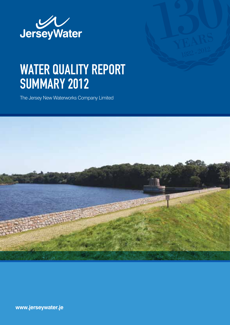

# WATER QUALITY REPORT summary 2012

The Jersey New Waterworks Company Limited



**www.jerseywater.je**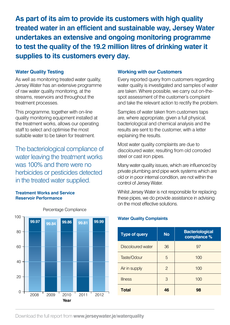**As part of its aim to provide its customers with high quality treated water in an efficient and sustainable way, Jersey Water undertakes an extensive and ongoing monitoring programme to test the quality of the 19.2 million litres of drinking water it supplies to its customers every day.**

## **Water Quality Testing**

As well as monitoring treated water quality, Jersey Water has an extensive programme of raw water quality monitoring, at the streams, reservoirs and throughout the treatment processes.

This programme, together with on-line quality monitoring equipment installed at the treatment works, allows our operating staff to select and optimise the most suitable water to be taken for treatment.

The bacteriological compliance of water leaving the treatment works was 100% and there were no herbicides or pesticides detected in the treated water supplied.

#### **Treatment Works and Service Reservoir Performance**



#### Percentage Compliance

#### **Working with our Customers**

Every reported query from customers regarding water quality is investigated and samples of water are taken. Where possible, we carry out on-thespot assessment of the customer's complaint and take the relevant action to rectify the problem.

Samples of water taken from customers taps are, where appropriate, given a full physical, bacteriological and chemical analysis and the results are sent to the customer, with a letter explaining the results.

Most water quality complaints are due to discoloured water, resulting from old corroded steel or cast iron pipes.

Many water quality issues, which are influenced by private plumbing and pipe work systems which are old or in poor internal condition, are not within the control of Jersey Water.

Whilst Jersey Water is not responsible for replacing these pipes, we do provide assistance in advising on the most effective solutions.

#### **Water Quality Complaints**

| <b>Type of query</b> | <b>No</b>     | <b>Bacteriological</b><br>compliance % |
|----------------------|---------------|----------------------------------------|
| Discoloured water    | 36            | 97                                     |
| Taste/Odour          | 5             | 100                                    |
| Air in supply        | $\mathcal{P}$ | 100                                    |
| <b>Illness</b>       | 3             | 100                                    |
| <b>Total</b>         | 46            | 98                                     |

Download the full report from **www.jerseywater.je/waterquality**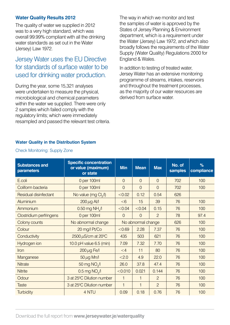## **Water Quality Results 2012**

The quality of water we supplied in 2012 was to a very high standard, which was overall 99.99% compliant with all the drinking water standards as set out in the Water (Jersey) Law 1972.

# Jersey Water uses the EU Directive for standards of surface water to be used for drinking water production.

During the year, some 15,321 analyses were undertaken to measure the physical, microbiological and chemical parameters within the water we supplied. There were only 2 samples which failed comply with the regulatory limits; which were immediately resampled and passed the relevant test criteria. The way in which we monitor and test the samples of water is approved by the States of Jersey Planning & Environment department, which is a requirement under the Water (Jersey) Law 1972, and which also broadly follows the requirements of the Water Supply (Water Quality) Regulations 2000 for England & Wales.

In addition to testing of treated water, Jersey Water has an extensive monitoring programme of streams, intakes, reservoirs and throughout the treatment processes, as the majority of our water resources are derived from surface water.

#### **Water Quality in the Distribution System**

| <b>Substances and</b><br>parameters | <b>Specific concentration</b><br>or value (maximum)<br>or state | <b>Min</b>     | <b>Mean</b>    | <b>Max</b>     | No. of<br>samples | %<br>compliance |
|-------------------------------------|-----------------------------------------------------------------|----------------|----------------|----------------|-------------------|-----------------|
| E.coli                              | 0 per 100ml                                                     | $\Omega$       | $\Omega$       | $\Omega$       | 702               | 100             |
| Coliform bacteria                   | 0 per 100ml                                                     | $\overline{0}$ | $\overline{0}$ | $\overline{0}$ | 702               | 100             |
| Residual disinfectant               | No value (mg Cl./l)                                             | < 0.02         | 0.12           | 0.54           | 626               |                 |
| Aluminium                           | $200 \mu g$ Al/I                                                | < 6            | 15             | 39             | 76                | 100             |
| Ammonium                            | $0.50$ mg NH $\Lambda$                                          | < 0.04         | < 0.04         | 0.15           | 76                | 100             |
| Clostridium perfringens             | 0 per 100ml                                                     | $\overline{0}$ | $\mathbf{0}$   | $\overline{2}$ | 78                | 97.4            |
| Colony counts                       | No abnormal change<br>No abnormal change                        |                |                | 626            | 100               |                 |
| Colour                              | 20 mg/l Pt/Co                                                   | < 0.69         | 2.28           | 7.37           | 76                | 100             |
| Conductivity                        | 2500 µS/cm at 20°C                                              | 435            | 503            | 621            | 76                | 100             |
| Hydrogen ion                        | 10.0 pH value $6.5$ (min)                                       | 7.09           | 7.32           | 7.70           | 76                | 100             |
| <b>Iron</b>                         | $200 \mu$ g Fe/I                                                | $\leq 4$       | 11             | 80             | 76                | 100             |
| Manganese                           | $50 \mu g$ Mn/l                                                 | < 2.0          | 4.9            | 22.0           | 76                | 100             |
| <b>Nitrate</b>                      | 50 mg NO <sub>2</sub> /I                                        | 26.0           | 37.8           | 47.4           | 76                | 100             |
| <b>Nitrite</b>                      | $0.5$ mg NO $\sqrt{1}$                                          | < 0.010        | 0.021          | 0.144          | 76                | 100             |
| Odour                               | 3 at 25°C Dilution number                                       | $\mathbf{1}$   | $\overline{1}$ | $\overline{c}$ | 76                | 100             |
| <b>Taste</b>                        | 3 at 25°C Dilution number                                       | $\mathbf{1}$   | $\overline{1}$ | $\overline{c}$ | 76                | 100             |
| Turbidity                           | 4 NTU                                                           | 0.09           | 0.18           | 0.76           | 76                | 100             |

#### Check Monitoring: Supply Zone